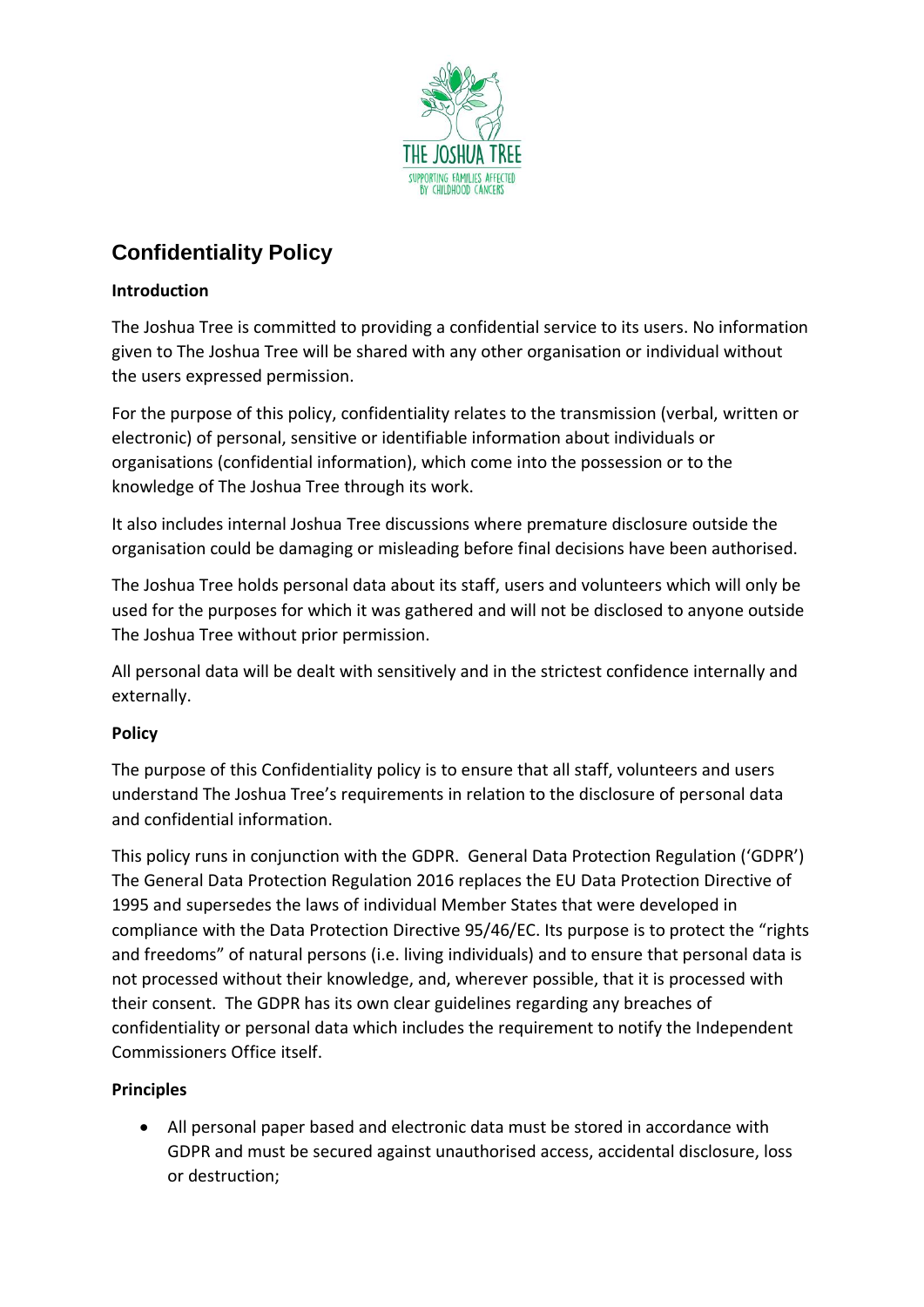

# **Confidentiality Policy**

## **Introduction**

The Joshua Tree is committed to providing a confidential service to its users. No information given to The Joshua Tree will be shared with any other organisation or individual without the users expressed permission.

For the purpose of this policy, confidentiality relates to the transmission (verbal, written or electronic) of personal, sensitive or identifiable information about individuals or organisations (confidential information), which come into the possession or to the knowledge of The Joshua Tree through its work.

It also includes internal Joshua Tree discussions where premature disclosure outside the organisation could be damaging or misleading before final decisions have been authorised.

The Joshua Tree holds personal data about its staff, users and volunteers which will only be used for the purposes for which it was gathered and will not be disclosed to anyone outside The Joshua Tree without prior permission.

All personal data will be dealt with sensitively and in the strictest confidence internally and externally.

## **Policy**

The purpose of this Confidentiality policy is to ensure that all staff, volunteers and users understand The Joshua Tree's requirements in relation to the disclosure of personal data and confidential information.

This policy runs in conjunction with the GDPR. General Data Protection Regulation ('GDPR') The General Data Protection Regulation 2016 replaces the EU Data Protection Directive of 1995 and supersedes the laws of individual Member States that were developed in compliance with the Data Protection Directive 95/46/EC. Its purpose is to protect the "rights and freedoms" of natural persons (i.e. living individuals) and to ensure that personal data is not processed without their knowledge, and, wherever possible, that it is processed with their consent. The GDPR has its own clear guidelines regarding any breaches of confidentiality or personal data which includes the requirement to notify the Independent Commissioners Office itself.

## **Principles**

• All personal paper based and electronic data must be stored in accordance with GDPR and must be secured against unauthorised access, accidental disclosure, loss or destruction;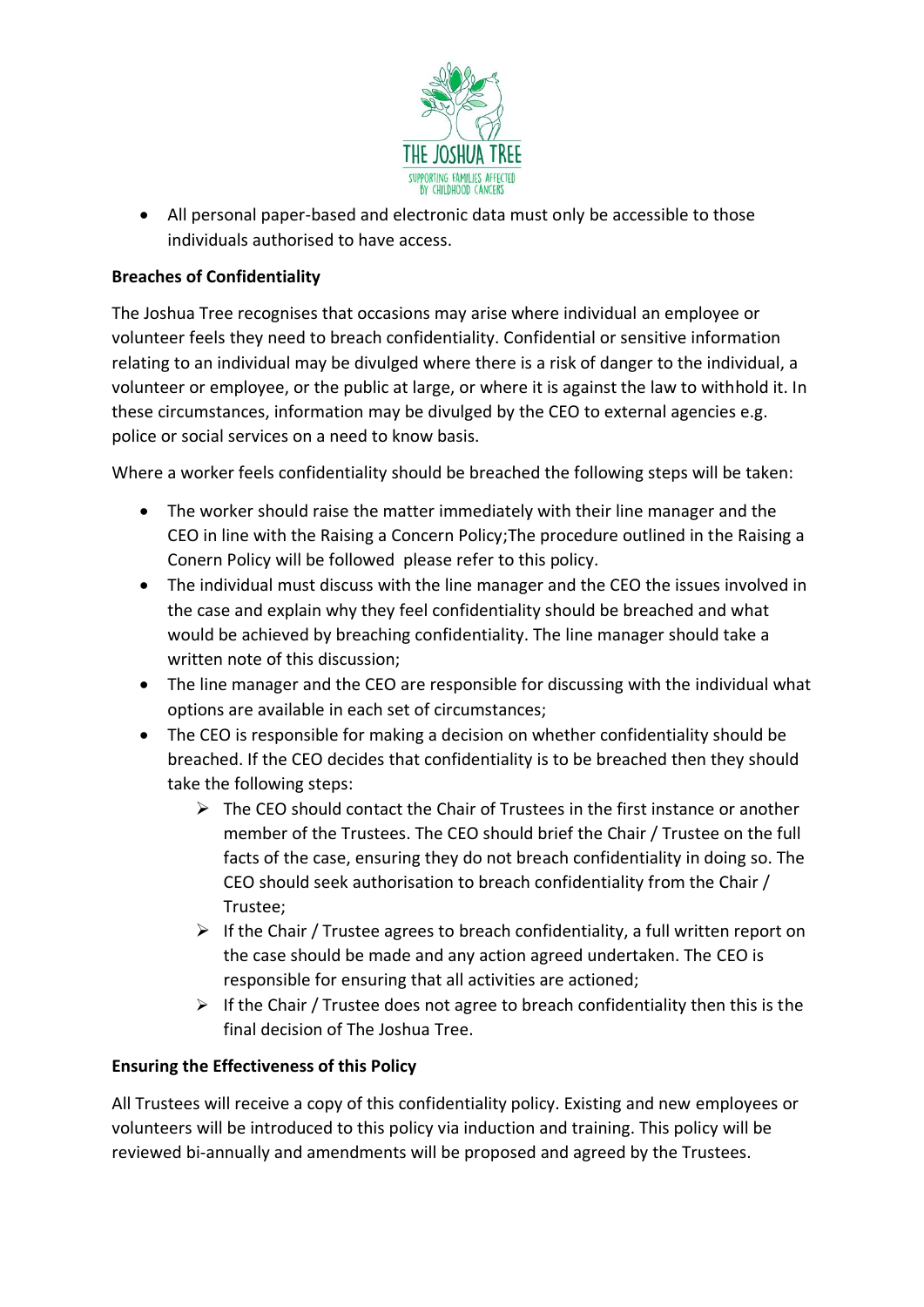

• All personal paper-based and electronic data must only be accessible to those individuals authorised to have access.

### **Breaches of Confidentiality**

The Joshua Tree recognises that occasions may arise where individual an employee or volunteer feels they need to breach confidentiality. Confidential or sensitive information relating to an individual may be divulged where there is a risk of danger to the individual, a volunteer or employee, or the public at large, or where it is against the law to withhold it. In these circumstances, information may be divulged by the CEO to external agencies e.g. police or social services on a need to know basis.

Where a worker feels confidentiality should be breached the following steps will be taken:

- The worker should raise the matter immediately with their line manager and the CEO in line with the Raising a Concern Policy;The procedure outlined in the Raising a Conern Policy will be followed please refer to this policy.
- The individual must discuss with the line manager and the CEO the issues involved in the case and explain why they feel confidentiality should be breached and what would be achieved by breaching confidentiality. The line manager should take a written note of this discussion;
- The line manager and the CEO are responsible for discussing with the individual what options are available in each set of circumstances;
- The CEO is responsible for making a decision on whether confidentiality should be breached. If the CEO decides that confidentiality is to be breached then they should take the following steps:
	- $\triangleright$  The CEO should contact the Chair of Trustees in the first instance or another member of the Trustees. The CEO should brief the Chair / Trustee on the full facts of the case, ensuring they do not breach confidentiality in doing so. The CEO should seek authorisation to breach confidentiality from the Chair / Trustee;
	- $\triangleright$  If the Chair / Trustee agrees to breach confidentiality, a full written report on the case should be made and any action agreed undertaken. The CEO is responsible for ensuring that all activities are actioned;
	- $\triangleright$  If the Chair / Trustee does not agree to breach confidentiality then this is the final decision of The Joshua Tree.

#### **Ensuring the Effectiveness of this Policy**

All Trustees will receive a copy of this confidentiality policy. Existing and new employees or volunteers will be introduced to this policy via induction and training. This policy will be reviewed bi-annually and amendments will be proposed and agreed by the Trustees.